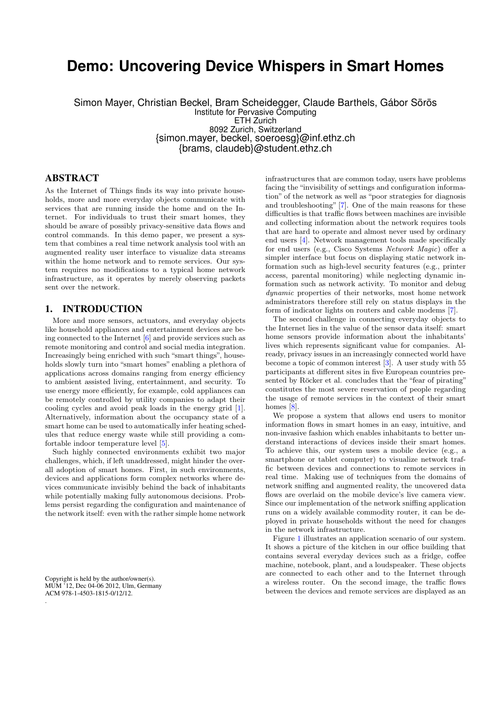# **Demo: Uncovering Device Whispers in Smart Homes**

Simon Mayer, Christian Beckel, Bram Scheidegger, Claude Barthels, Gábor Sörös Institute for Pervasive Computing ETH Zurich 8092 Zurich, Switzerland {simon.mayer, beckel, soeroesg}@inf.ethz.ch {brams, claudeb}@student.ethz.ch

# ABSTRACT

As the Internet of Things finds its way into private households, more and more everyday objects communicate with services that are running inside the home and on the Internet. For individuals to trust their smart homes, they should be aware of possibly privacy-sensitive data flows and control commands. In this demo paper, we present a system that combines a real time network analysis tool with an augmented reality user interface to visualize data streams within the home network and to remote services. Our system requires no modifications to a typical home network infrastructure, as it operates by merely observing packets sent over the network.

# <span id="page-0-0"></span>1. INTRODUCTION

More and more sensors, actuators, and everyday objects like household appliances and entertainment devices are being connected to the Internet [\[6\]](#page-2-0) and provide services such as remote monitoring and control and social media integration. Increasingly being enriched with such "smart things", households slowly turn into "smart homes" enabling a plethora of applications across domains ranging from energy efficiency to ambient assisted living, entertainment, and security. To use energy more efficiently, for example, cold appliances can be remotely controlled by utility companies to adapt their cooling cycles and avoid peak loads in the energy grid [\[1\]](#page-2-1). Alternatively, information about the occupancy state of a smart home can be used to automatically infer heating schedules that reduce energy waste while still providing a comfortable indoor temperature level [\[5\]](#page-2-2).

Such highly connected environments exhibit two major challenges, which, if left unaddressed, might hinder the overall adoption of smart homes. First, in such environments, devices and applications form complex networks where devices communicate invisibly behind the back of inhabitants while potentially making fully autonomous decisions. Problems persist regarding the configuration and maintenance of the network itself: even with the rather simple home network

Copyright is held by the author/owner(s). MUM '12, Dec 04-06 2012, Ulm, Germany ACM 978-1-4503-1815-0/12/12.

.

infrastructures that are common today, users have problems facing the "invisibility of settings and configuration information" of the network as well as "poor strategies for diagnosis and troubleshooting" [\[7\]](#page-2-3). One of the main reasons for these difficulties is that traffic flows between machines are invisible and collecting information about the network requires tools that are hard to operate and almost never used by ordinary end users [\[4\]](#page-2-4). Network management tools made specifically for end users (e.g., Cisco Systems Network Magic) offer a simpler interface but focus on displaying static network information such as high-level security features (e.g., printer access, parental monitoring) while neglecting dynamic information such as network activity. To monitor and debug dynamic properties of their networks, most home network administrators therefore still rely on status displays in the form of indicator lights on routers and cable modems [\[7\]](#page-2-3).

The second challenge in connecting everyday objects to the Internet lies in the value of the sensor data itself: smart home sensors provide information about the inhabitants' lives which represents significant value for companies. Already, privacy issues in an increasingly connected world have become a topic of common interest [\[3\]](#page-2-5). A user study with 55 participants at different sites in five European countries presented by Röcker et al. concludes that the "fear of pirating" constitutes the most severe reservation of people regarding the usage of remote services in the context of their smart homes [\[8\]](#page-2-6).

We propose a system that allows end users to monitor information flows in smart homes in an easy, intuitive, and non-invasive fashion which enables inhabitants to better understand interactions of devices inside their smart homes. To achieve this, our system uses a mobile device (e.g., a smartphone or tablet computer) to visualize network traffic between devices and connections to remote services in real time. Making use of techniques from the domains of network sniffing and augmented reality, the uncovered data flows are overlaid on the mobile device's live camera view. Since our implementation of the network sniffing application runs on a widely available commodity router, it can be deployed in private households without the need for changes in the network infrastructure.

Figure [1](#page-0-0) illustrates an application scenario of our system. It shows a picture of the kitchen in our office building that contains several everyday devices such as a fridge, coffee machine, notebook, plant, and a loudspeaker. These objects are connected to each other and to the Internet through a wireless router. On the second image, the traffic flows between the devices and remote services are displayed as an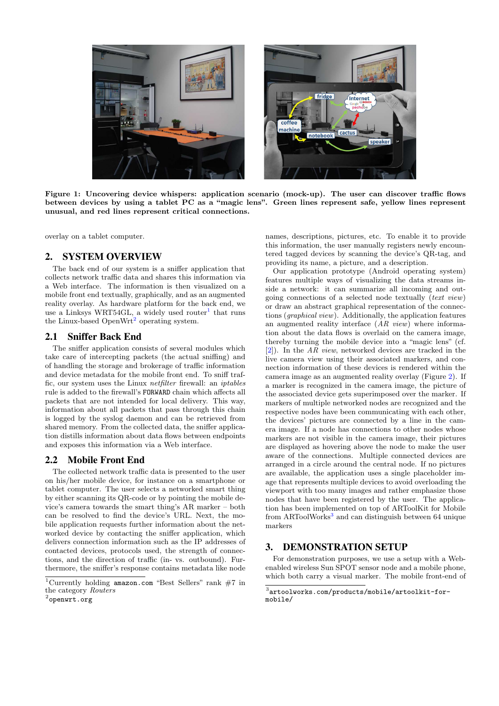

Figure 1: Uncovering device whispers: application scenario (mock-up). The user can discover traffic flows between devices by using a tablet PC as a "magic lens". Green lines represent safe, yellow lines represent unusual, and red lines represent critical connections.

overlay on a tablet computer.

## 2. SYSTEM OVERVIEW

The back end of our system is a sniffer application that collects network traffic data and shares this information via a Web interface. The information is then visualized on a mobile front end textually, graphically, and as an augmented reality overlay. As hardware platform for the back end, we use a Linksys WRT54GL, a widely used router<sup>[1](#page-1-0)</sup> that runs the Linux-based OpenWrt<sup>[2](#page-1-1)</sup> operating system.

## 2.1 Sniffer Back End

The sniffer application consists of several modules which take care of intercepting packets (the actual sniffing) and of handling the storage and brokerage of traffic information and device metadata for the mobile front end. To sniff traffic, our system uses the Linux netfilter firewall: an iptables rule is added to the firewall's FORWARD chain which affects all packets that are not intended for local delivery. This way, information about all packets that pass through this chain is logged by the syslog daemon and can be retrieved from shared memory. From the collected data, the sniffer application distills information about data flows between endpoints and exposes this information via a Web interface.

#### 2.2 Mobile Front End

The collected network traffic data is presented to the user on his/her mobile device, for instance on a smartphone or tablet computer. The user selects a networked smart thing by either scanning its QR-code or by pointing the mobile device's camera towards the smart thing's AR marker – both can be resolved to find the device's URL. Next, the mobile application requests further information about the networked device by contacting the sniffer application, which delivers connection information such as the IP addresses of contacted devices, protocols used, the strength of connections, and the direction of traffic (in- vs. outbound). Furthermore, the sniffer's response contains metadata like node

names, descriptions, pictures, etc. To enable it to provide this information, the user manually registers newly encountered tagged devices by scanning the device's QR-tag, and providing its name, a picture, and a description.

Our application prototype (Android operating system) features multiple ways of visualizing the data streams inside a network: it can summarize all incoming and outgoing connections of a selected node textually (text view) or draw an abstract graphical representation of the connections (graphical view). Additionally, the application features an augmented reality interface  $(AR\;view)$  where information about the data flows is overlaid on the camera image, thereby turning the mobile device into a "magic lens" (cf. [\[2\]](#page-2-7)). In the AR view, networked devices are tracked in the live camera view using their associated markers, and connection information of these devices is rendered within the camera image as an augmented reality overlay (Figure [2\)](#page-2-8). If a marker is recognized in the camera image, the picture of the associated device gets superimposed over the marker. If markers of multiple networked nodes are recognized and the respective nodes have been communicating with each other, the devices' pictures are connected by a line in the camera image. If a node has connections to other nodes whose markers are not visible in the camera image, their pictures are displayed as hovering above the node to make the user aware of the connections. Multiple connected devices are arranged in a circle around the central node. If no pictures are available, the application uses a single placeholder image that represents multiple devices to avoid overloading the viewport with too many images and rather emphasize those nodes that have been registered by the user. The application has been implemented on top of ARToolKit for Mobile from ARToolWorks<sup>[3](#page-1-2)</sup> and can distinguish between 64 unique markers

## 3. DEMONSTRATION SETUP

For demonstration purposes, we use a setup with a Webenabled wireless Sun SPOT sensor node and a mobile phone, which both carry a visual marker. The mobile front-end of

<span id="page-1-0"></span><sup>&</sup>lt;sup>1</sup>Currently holding amazon.com "Best Sellers" rank  $#7$  in the category Routers

<span id="page-1-1"></span> $^2$ openwrt.org

<span id="page-1-2"></span><sup>3</sup> artoolworks.com/products/mobile/artoolkit-formobile/